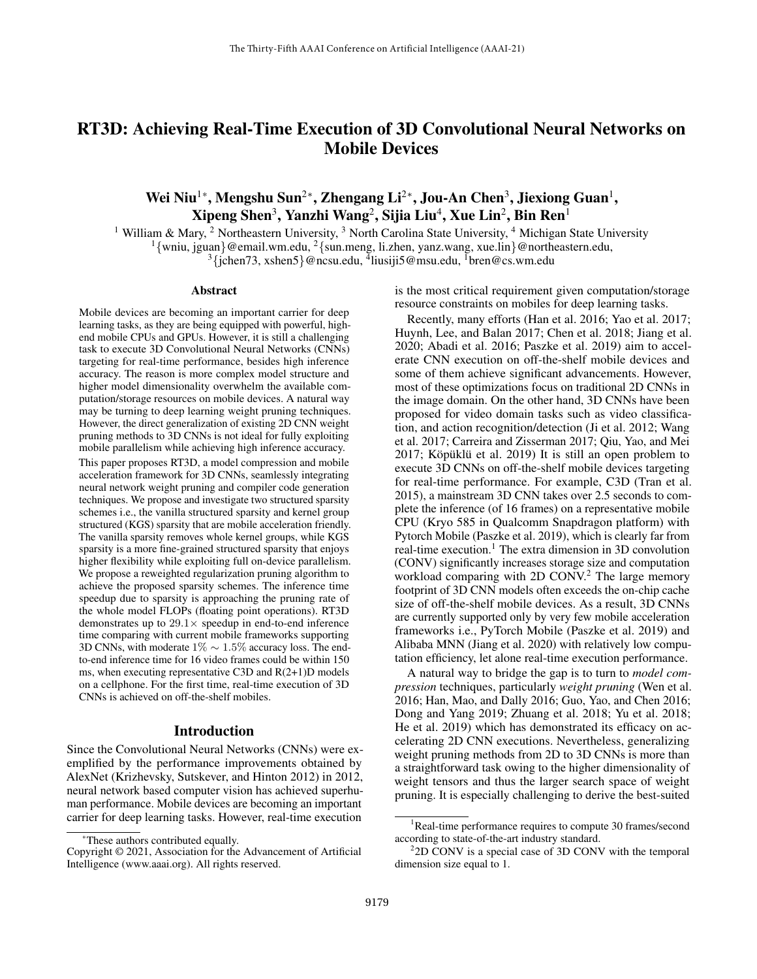# RT3D: Achieving Real-Time Execution of 3D Convolutional Neural Networks on Mobile Devices

## Wei Niu $^{1*}$ , Mengshu Sun $^{2*}$ , Zhengang Li $^{2*}$ , Jou-An Chen $^{3}$ , Jiexiong Guan $^{1}$ ,  $\mathbf{X}$ ipeng Shen $^3$ , Yanzhi Wang $^2$ , Sijia Liu $^4$ , Xue Lin $^2$ , Bin Ren $^1$

<sup>1</sup> William & Mary, <sup>2</sup> Northeastern University, <sup>3</sup> North Carolina State University, <sup>4</sup> Michigan State University <sup>1</sup> $\{\text{wniu, igual}\}\n$ @email.wm.edu, <sup>2</sup> $\{\text{sun.}$ meng, li.zhen, yanz.wang, xue.lin $\}\n$ @northeastern.edu, <sup>3</sup> {jchen73, xshen5} @ncsu.edu, <sup>4</sup>liusiji5@msu.edu, <sup>1</sup>bren@cs.wm.edu

#### Abstract

Mobile devices are becoming an important carrier for deep learning tasks, as they are being equipped with powerful, highend mobile CPUs and GPUs. However, it is still a challenging task to execute 3D Convolutional Neural Networks (CNNs) targeting for real-time performance, besides high inference accuracy. The reason is more complex model structure and higher model dimensionality overwhelm the available computation/storage resources on mobile devices. A natural way may be turning to deep learning weight pruning techniques. However, the direct generalization of existing 2D CNN weight pruning methods to 3D CNNs is not ideal for fully exploiting mobile parallelism while achieving high inference accuracy.

This paper proposes RT3D, a model compression and mobile acceleration framework for 3D CNNs, seamlessly integrating neural network weight pruning and compiler code generation techniques. We propose and investigate two structured sparsity schemes i.e., the vanilla structured sparsity and kernel group structured (KGS) sparsity that are mobile acceleration friendly. The vanilla sparsity removes whole kernel groups, while KGS sparsity is a more fine-grained structured sparsity that enjoys higher flexibility while exploiting full on-device parallelism. We propose a reweighted regularization pruning algorithm to achieve the proposed sparsity schemes. The inference time speedup due to sparsity is approaching the pruning rate of the whole model FLOPs (floating point operations). RT3D demonstrates up to  $29.1 \times$  speedup in end-to-end inference time comparing with current mobile frameworks supporting 3D CNNs, with moderate 1% ∼ 1.5% accuracy loss. The endto-end inference time for 16 video frames could be within 150 ms, when executing representative C3D and R(2+1)D models on a cellphone. For the first time, real-time execution of 3D CNNs is achieved on off-the-shelf mobiles.

#### Introduction

Since the Convolutional Neural Networks (CNNs) were exemplified by the performance improvements obtained by AlexNet (Krizhevsky, Sutskever, and Hinton 2012) in 2012, neural network based computer vision has achieved superhuman performance. Mobile devices are becoming an important carrier for deep learning tasks. However, real-time execution

is the most critical requirement given computation/storage resource constraints on mobiles for deep learning tasks.

Recently, many efforts (Han et al. 2016; Yao et al. 2017; Huynh, Lee, and Balan 2017; Chen et al. 2018; Jiang et al. 2020; Abadi et al. 2016; Paszke et al. 2019) aim to accelerate CNN execution on off-the-shelf mobile devices and some of them achieve significant advancements. However, most of these optimizations focus on traditional 2D CNNs in the image domain. On the other hand, 3D CNNs have been proposed for video domain tasks such as video classification, and action recognition/detection (Ji et al. 2012; Wang et al. 2017; Carreira and Zisserman 2017; Qiu, Yao, and Mei  $2017$ ; Köpüklü et al.  $2019$ ) It is still an open problem to execute 3D CNNs on off-the-shelf mobile devices targeting for real-time performance. For example, C3D (Tran et al. 2015), a mainstream 3D CNN takes over 2.5 seconds to complete the inference (of 16 frames) on a representative mobile CPU (Kryo 585 in Qualcomm Snapdragon platform) with Pytorch Mobile (Paszke et al. 2019), which is clearly far from real-time execution.<sup>1</sup> The extra dimension in 3D convolution (CONV) significantly increases storage size and computation workload comparing with 2D CONV.<sup>2</sup> The large memory footprint of 3D CNN models often exceeds the on-chip cache size of off-the-shelf mobile devices. As a result, 3D CNNs are currently supported only by very few mobile acceleration frameworks i.e., PyTorch Mobile (Paszke et al. 2019) and Alibaba MNN (Jiang et al. 2020) with relatively low computation efficiency, let alone real-time execution performance.

A natural way to bridge the gap is to turn to *model compression* techniques, particularly *weight pruning* (Wen et al. 2016; Han, Mao, and Dally 2016; Guo, Yao, and Chen 2016; Dong and Yang 2019; Zhuang et al. 2018; Yu et al. 2018; He et al. 2019) which has demonstrated its efficacy on accelerating 2D CNN executions. Nevertheless, generalizing weight pruning methods from 2D to 3D CNNs is more than a straightforward task owing to the higher dimensionality of weight tensors and thus the larger search space of weight pruning. It is especially challenging to derive the best-suited

<sup>\*</sup>These authors contributed equally.

Copyright © 2021, Association for the Advancement of Artificial Intelligence (www.aaai.org). All rights reserved.

<sup>&</sup>lt;sup>1</sup>Real-time performance requires to compute 30 frames/second according to state-of-the-art industry standard.

<sup>&</sup>lt;sup>2</sup>2D CONV is a special case of 3D CONV with the temporal dimension size equal to 1.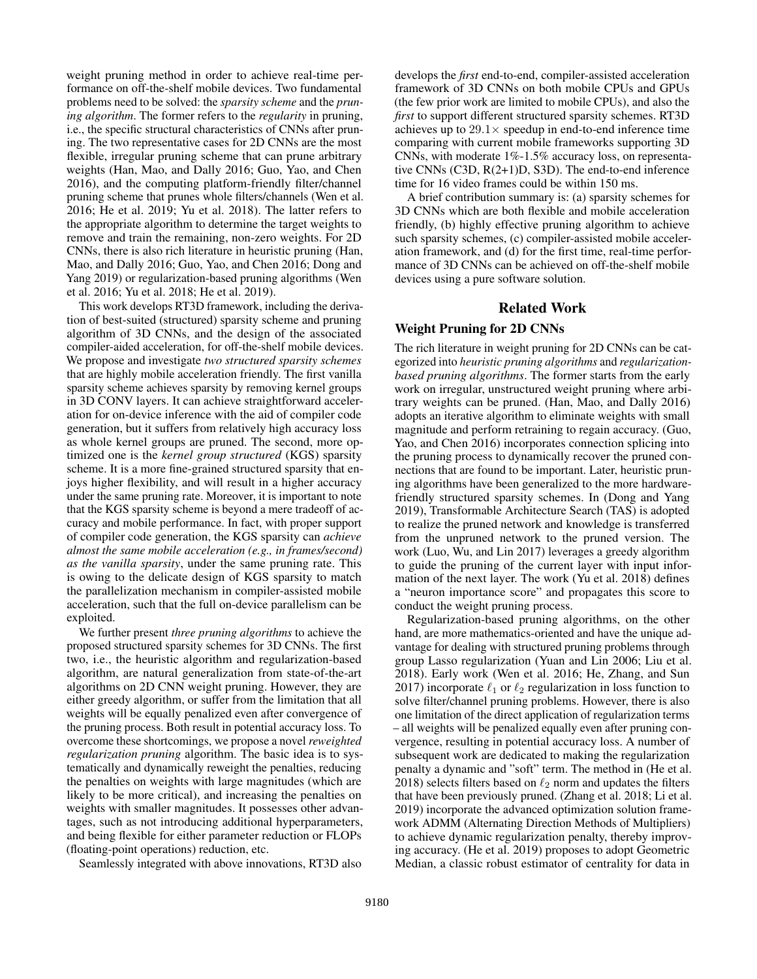weight pruning method in order to achieve real-time performance on off-the-shelf mobile devices. Two fundamental problems need to be solved: the *sparsity scheme* and the *pruning algorithm*. The former refers to the *regularity* in pruning, i.e., the specific structural characteristics of CNNs after pruning. The two representative cases for 2D CNNs are the most flexible, irregular pruning scheme that can prune arbitrary weights (Han, Mao, and Dally 2016; Guo, Yao, and Chen 2016), and the computing platform-friendly filter/channel pruning scheme that prunes whole filters/channels (Wen et al. 2016; He et al. 2019; Yu et al. 2018). The latter refers to the appropriate algorithm to determine the target weights to remove and train the remaining, non-zero weights. For 2D CNNs, there is also rich literature in heuristic pruning (Han, Mao, and Dally 2016; Guo, Yao, and Chen 2016; Dong and Yang 2019) or regularization-based pruning algorithms (Wen et al. 2016; Yu et al. 2018; He et al. 2019).

This work develops RT3D framework, including the derivation of best-suited (structured) sparsity scheme and pruning algorithm of 3D CNNs, and the design of the associated compiler-aided acceleration, for off-the-shelf mobile devices. We propose and investigate *two structured sparsity schemes* that are highly mobile acceleration friendly. The first vanilla sparsity scheme achieves sparsity by removing kernel groups in 3D CONV layers. It can achieve straightforward acceleration for on-device inference with the aid of compiler code generation, but it suffers from relatively high accuracy loss as whole kernel groups are pruned. The second, more optimized one is the *kernel group structured* (KGS) sparsity scheme. It is a more fine-grained structured sparsity that enjoys higher flexibility, and will result in a higher accuracy under the same pruning rate. Moreover, it is important to note that the KGS sparsity scheme is beyond a mere tradeoff of accuracy and mobile performance. In fact, with proper support of compiler code generation, the KGS sparsity can *achieve almost the same mobile acceleration (e.g., in frames/second) as the vanilla sparsity*, under the same pruning rate. This is owing to the delicate design of KGS sparsity to match the parallelization mechanism in compiler-assisted mobile acceleration, such that the full on-device parallelism can be exploited.

We further present *three pruning algorithms* to achieve the proposed structured sparsity schemes for 3D CNNs. The first two, i.e., the heuristic algorithm and regularization-based algorithm, are natural generalization from state-of-the-art algorithms on 2D CNN weight pruning. However, they are either greedy algorithm, or suffer from the limitation that all weights will be equally penalized even after convergence of the pruning process. Both result in potential accuracy loss. To overcome these shortcomings, we propose a novel *reweighted regularization pruning* algorithm. The basic idea is to systematically and dynamically reweight the penalties, reducing the penalties on weights with large magnitudes (which are likely to be more critical), and increasing the penalties on weights with smaller magnitudes. It possesses other advantages, such as not introducing additional hyperparameters, and being flexible for either parameter reduction or FLOPs (floating-point operations) reduction, etc.

Seamlessly integrated with above innovations, RT3D also

develops the *first* end-to-end, compiler-assisted acceleration framework of 3D CNNs on both mobile CPUs and GPUs (the few prior work are limited to mobile CPUs), and also the *first* to support different structured sparsity schemes. RT3D achieves up to  $29.1 \times$  speedup in end-to-end inference time comparing with current mobile frameworks supporting 3D CNNs, with moderate 1%-1.5% accuracy loss, on representative CNNs (C3D, R(2+1)D, S3D). The end-to-end inference time for 16 video frames could be within 150 ms.

A brief contribution summary is: (a) sparsity schemes for 3D CNNs which are both flexible and mobile acceleration friendly, (b) highly effective pruning algorithm to achieve such sparsity schemes, (c) compiler-assisted mobile acceleration framework, and (d) for the first time, real-time performance of 3D CNNs can be achieved on off-the-shelf mobile devices using a pure software solution.

### Related Work

#### Weight Pruning for 2D CNNs

The rich literature in weight pruning for 2D CNNs can be categorized into *heuristic pruning algorithms* and *regularizationbased pruning algorithms*. The former starts from the early work on irregular, unstructured weight pruning where arbitrary weights can be pruned. (Han, Mao, and Dally 2016) adopts an iterative algorithm to eliminate weights with small magnitude and perform retraining to regain accuracy. (Guo, Yao, and Chen 2016) incorporates connection splicing into the pruning process to dynamically recover the pruned connections that are found to be important. Later, heuristic pruning algorithms have been generalized to the more hardwarefriendly structured sparsity schemes. In (Dong and Yang 2019), Transformable Architecture Search (TAS) is adopted to realize the pruned network and knowledge is transferred from the unpruned network to the pruned version. The work (Luo, Wu, and Lin 2017) leverages a greedy algorithm to guide the pruning of the current layer with input information of the next layer. The work (Yu et al. 2018) defines a "neuron importance score" and propagates this score to conduct the weight pruning process.

Regularization-based pruning algorithms, on the other hand, are more mathematics-oriented and have the unique advantage for dealing with structured pruning problems through group Lasso regularization (Yuan and Lin 2006; Liu et al. 2018). Early work (Wen et al. 2016; He, Zhang, and Sun 2017) incorporate  $\ell_1$  or  $\ell_2$  regularization in loss function to solve filter/channel pruning problems. However, there is also one limitation of the direct application of regularization terms – all weights will be penalized equally even after pruning convergence, resulting in potential accuracy loss. A number of subsequent work are dedicated to making the regularization penalty a dynamic and "soft" term. The method in (He et al. 2018) selects filters based on  $\ell_2$  norm and updates the filters that have been previously pruned. (Zhang et al. 2018; Li et al. 2019) incorporate the advanced optimization solution framework ADMM (Alternating Direction Methods of Multipliers) to achieve dynamic regularization penalty, thereby improving accuracy. (He et al. 2019) proposes to adopt Geometric Median, a classic robust estimator of centrality for data in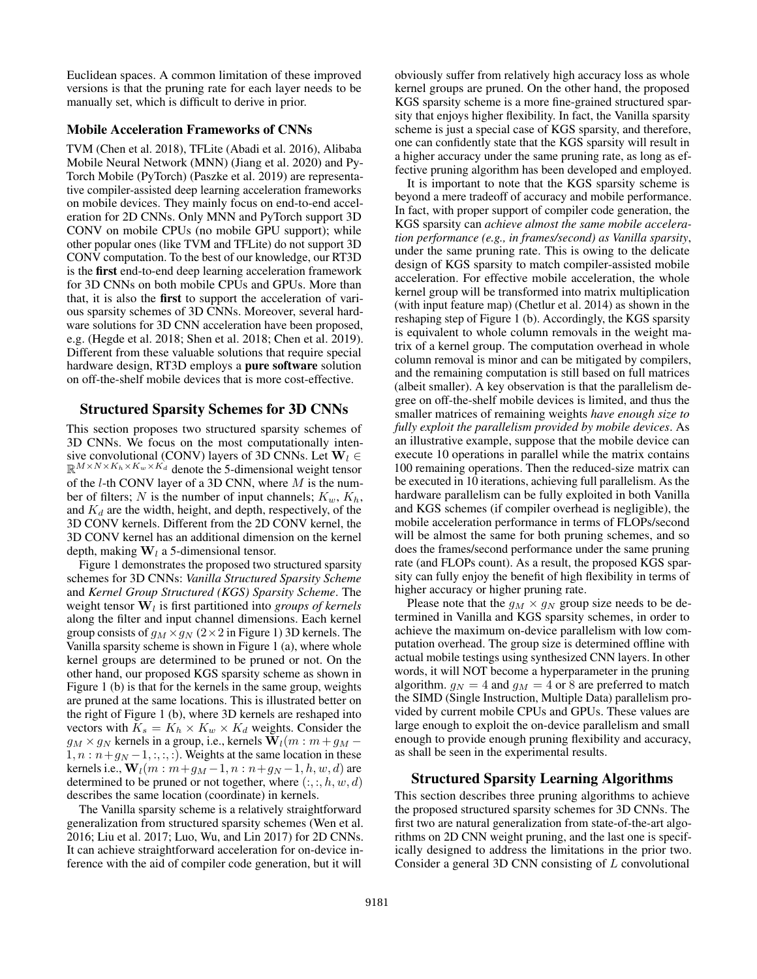Euclidean spaces. A common limitation of these improved versions is that the pruning rate for each layer needs to be manually set, which is difficult to derive in prior.

#### Mobile Acceleration Frameworks of CNNs

TVM (Chen et al. 2018), TFLite (Abadi et al. 2016), Alibaba Mobile Neural Network (MNN) (Jiang et al. 2020) and Py-Torch Mobile (PyTorch) (Paszke et al. 2019) are representative compiler-assisted deep learning acceleration frameworks on mobile devices. They mainly focus on end-to-end acceleration for 2D CNNs. Only MNN and PyTorch support 3D CONV on mobile CPUs (no mobile GPU support); while other popular ones (like TVM and TFLite) do not support 3D CONV computation. To the best of our knowledge, our RT3D is the first end-to-end deep learning acceleration framework for 3D CNNs on both mobile CPUs and GPUs. More than that, it is also the first to support the acceleration of various sparsity schemes of 3D CNNs. Moreover, several hardware solutions for 3D CNN acceleration have been proposed, e.g. (Hegde et al. 2018; Shen et al. 2018; Chen et al. 2019). Different from these valuable solutions that require special hardware design, RT3D employs a pure software solution on off-the-shelf mobile devices that is more cost-effective.

## Structured Sparsity Schemes for 3D CNNs

This section proposes two structured sparsity schemes of 3D CNNs. We focus on the most computationally intensive convolutional (CONV) layers of 3D CNNs. Let  $W_l \in$  $\mathbb{R}^{M \times N \times K_h \times K_w \times K_d}$  denote the 5-dimensional weight tensor of the  $l$ -th CONV layer of a 3D CNN, where  $M$  is the number of filters; N is the number of input channels;  $K_w$ ,  $K_h$ , and  $K_d$  are the width, height, and depth, respectively, of the 3D CONV kernels. Different from the 2D CONV kernel, the 3D CONV kernel has an additional dimension on the kernel depth, making  $W_l$  a 5-dimensional tensor.

Figure 1 demonstrates the proposed two structured sparsity schemes for 3D CNNs: *Vanilla Structured Sparsity Scheme* and *Kernel Group Structured (KGS) Sparsity Scheme*. The weight tensor  $W_l$  is first partitioned into *groups of kernels* along the filter and input channel dimensions. Each kernel group consists of  $g_M \times g_N$  (2×2 in Figure 1) 3D kernels. The Vanilla sparsity scheme is shown in Figure 1 (a), where whole kernel groups are determined to be pruned or not. On the other hand, our proposed KGS sparsity scheme as shown in Figure 1 (b) is that for the kernels in the same group, weights are pruned at the same locations. This is illustrated better on the right of Figure 1 (b), where 3D kernels are reshaped into vectors with  $K_s = K_h \times K_w \times K_d$  weights. Consider the  $g_M \times g_N$  kernels in a group, i.e., kernels  $\mathbf{W}_l(m : m + g_M 1, n : n + g_N - 1,$ ;, :, :). Weights at the same location in these kernels i.e.,  $W_l(m : m + g_M - 1, n : n + g_N - 1, h, w, d)$  are determined to be pruned or not together, where  $(:, :, h, w, d)$ describes the same location (coordinate) in kernels.

The Vanilla sparsity scheme is a relatively straightforward generalization from structured sparsity schemes (Wen et al. 2016; Liu et al. 2017; Luo, Wu, and Lin 2017) for 2D CNNs. It can achieve straightforward acceleration for on-device inference with the aid of compiler code generation, but it will

obviously suffer from relatively high accuracy loss as whole kernel groups are pruned. On the other hand, the proposed KGS sparsity scheme is a more fine-grained structured sparsity that enjoys higher flexibility. In fact, the Vanilla sparsity scheme is just a special case of KGS sparsity, and therefore, one can confidently state that the KGS sparsity will result in a higher accuracy under the same pruning rate, as long as effective pruning algorithm has been developed and employed.

It is important to note that the KGS sparsity scheme is beyond a mere tradeoff of accuracy and mobile performance. In fact, with proper support of compiler code generation, the KGS sparsity can *achieve almost the same mobile acceleration performance (e.g., in frames/second) as Vanilla sparsity*, under the same pruning rate. This is owing to the delicate design of KGS sparsity to match compiler-assisted mobile acceleration. For effective mobile acceleration, the whole kernel group will be transformed into matrix multiplication (with input feature map) (Chetlur et al. 2014) as shown in the reshaping step of Figure 1 (b). Accordingly, the KGS sparsity is equivalent to whole column removals in the weight matrix of a kernel group. The computation overhead in whole column removal is minor and can be mitigated by compilers, and the remaining computation is still based on full matrices (albeit smaller). A key observation is that the parallelism degree on off-the-shelf mobile devices is limited, and thus the smaller matrices of remaining weights *have enough size to fully exploit the parallelism provided by mobile devices*. As an illustrative example, suppose that the mobile device can execute 10 operations in parallel while the matrix contains 100 remaining operations. Then the reduced-size matrix can be executed in 10 iterations, achieving full parallelism. As the hardware parallelism can be fully exploited in both Vanilla and KGS schemes (if compiler overhead is negligible), the mobile acceleration performance in terms of FLOPs/second will be almost the same for both pruning schemes, and so does the frames/second performance under the same pruning rate (and FLOPs count). As a result, the proposed KGS sparsity can fully enjoy the benefit of high flexibility in terms of higher accuracy or higher pruning rate.

Please note that the  $g_M \times g_N$  group size needs to be determined in Vanilla and KGS sparsity schemes, in order to achieve the maximum on-device parallelism with low computation overhead. The group size is determined offline with actual mobile testings using synthesized CNN layers. In other words, it will NOT become a hyperparameter in the pruning algorithm.  $g_N = 4$  and  $g_M = 4$  or 8 are preferred to match the SIMD (Single Instruction, Multiple Data) parallelism provided by current mobile CPUs and GPUs. These values are large enough to exploit the on-device parallelism and small enough to provide enough pruning flexibility and accuracy, as shall be seen in the experimental results.

#### Structured Sparsity Learning Algorithms

This section describes three pruning algorithms to achieve the proposed structured sparsity schemes for 3D CNNs. The first two are natural generalization from state-of-the-art algorithms on 2D CNN weight pruning, and the last one is specifically designed to address the limitations in the prior two. Consider a general 3D CNN consisting of L convolutional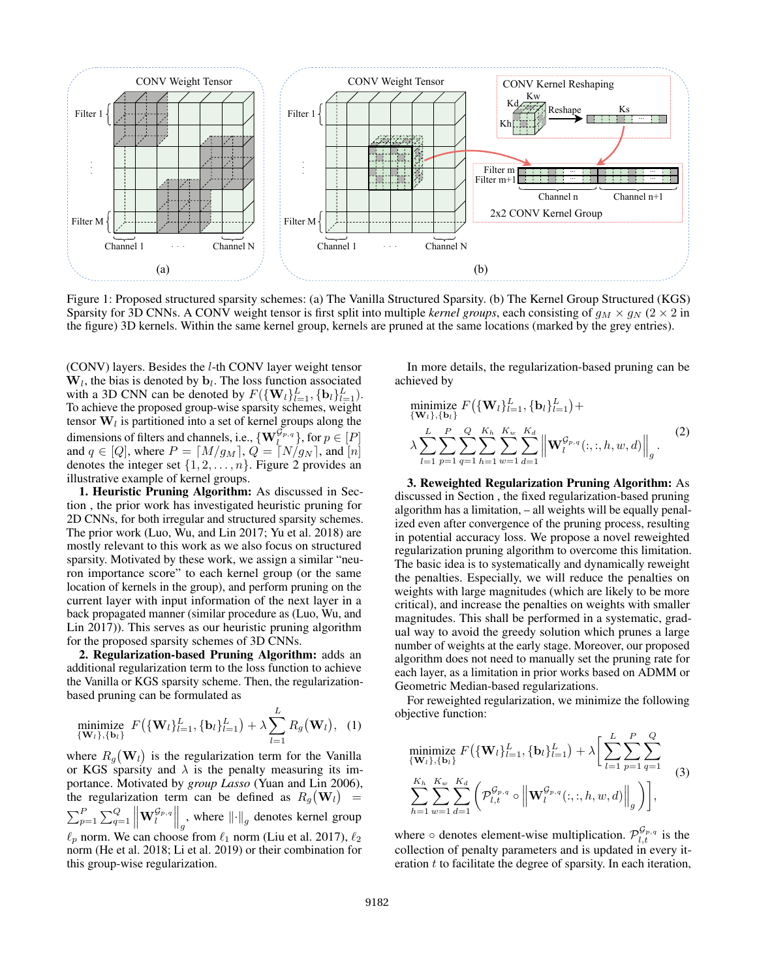

Figure 1: Proposed structured sparsity schemes: (a) The Vanilla Structured Sparsity. (b) The Kernel Group Structured (KGS) Sparsity for 3D CNNs. A CONV weight tensor is first split into multiple *kernel groups*, each consisting of  $g_M \times g_N$  ( $2 \times 2$  in the figure) 3D kernels. Within the same kernel group, kernels are pruned at the same locations (marked by the grey entries).

(CONV) layers. Besides the l-th CONV layer weight tensor  $W_l$ , the bias is denoted by  $b_l$ . The loss function associated with a 3D CNN can be denoted by  $F(\{\mathbf{W}_{l}\}_{l=1}^{L}, {\{\mathbf{b}_{l}\}}_{l=1}^{L})$ . To achieve the proposed group-wise sparsity schemes, weight tensor  $W_l$  is partitioned into a set of kernel groups along the dimensions of filters and channels, i.e.,  $\{ \mathbf{W}_{l}^{\mathcal{G}_{p,q}} \}$ , for  $p \in [P]$ and  $q \in [Q]$ , where  $P = [M/g_M], Q = [N/g_N]$ , and  $[n]$ denotes the integer set  $\{1, 2, \ldots, n\}$ . Figure 2 provides an illustrative example of kernel groups.

1. Heuristic Pruning Algorithm: As discussed in Section , the prior work has investigated heuristic pruning for 2D CNNs, for both irregular and structured sparsity schemes. The prior work (Luo, Wu, and Lin 2017; Yu et al. 2018) are mostly relevant to this work as we also focus on structured sparsity. Motivated by these work, we assign a similar "neuron importance score" to each kernel group (or the same location of kernels in the group), and perform pruning on the current layer with input information of the next layer in a back propagated manner (similar procedure as (Luo, Wu, and Lin 2017)). This serves as our heuristic pruning algorithm for the proposed sparsity schemes of 3D CNNs.

2. Regularization-based Pruning Algorithm: adds an additional regularization term to the loss function to achieve the Vanilla or KGS sparsity scheme. Then, the regularizationbased pruning can be formulated as

minimize 
$$
F(\{\mathbf{W}_l\}_{l=1}^L, \{\mathbf{b}_l\}_{l=1}^L) + \lambda \sum_{l=1}^L R_g(\mathbf{W}_l),
$$
 (1)

where  $R_g(\mathbf{W}_l)$  is the regularization term for the Vanilla or KGS sparsity and  $\lambda$  is the penalty measuring its importance. Motivated by *group Lasso* (Yuan and Lin 2006), the regularization term can be defined as  $R_g(\mathbf{W}_l)$  =  $\sum_{p=1}^{P} \sum_{q=1}^{Q} \left\| \mathbf{W}_{l}^{\mathcal{G}_{p,q}} \right\|_{g}$ , where  $\left\| \cdot \right\|_{g}$  denotes kernel group  $\ell_p$  norm. We can choose from  $\ell_1$  norm (Liu et al. 2017),  $\ell_2$ norm (He et al. 2018; Li et al. 2019) or their combination for this group-wise regularization.

In more details, the regularization-based pruning can be achieved by

minimize 
$$
F(\{\mathbf{W}_l\}_{l=1}^L, \{\mathbf{b}_l\}_{l=1}^L) +
$$
  
\n
$$
\lambda \sum_{l=1}^L \sum_{p=1}^P \sum_{q=1}^Q \sum_{h=1}^{K_h} \sum_{w=1}^{K_w} \sum_{d=1}^{K_d} \left\| \mathbf{W}_l^{\mathcal{G}_{p,q}}(:, :, h, w, d) \right\|_g.
$$
\n(2)

3. Reweighted Regularization Pruning Algorithm: As discussed in Section , the fixed regularization-based pruning algorithm has a limitation, – all weights will be equally penalized even after convergence of the pruning process, resulting in potential accuracy loss. We propose a novel reweighted regularization pruning algorithm to overcome this limitation. The basic idea is to systematically and dynamically reweight the penalties. Especially, we will reduce the penalties on weights with large magnitudes (which are likely to be more critical), and increase the penalties on weights with smaller magnitudes. This shall be performed in a systematic, gradual way to avoid the greedy solution which prunes a large number of weights at the early stage. Moreover, our proposed algorithm does not need to manually set the pruning rate for each layer, as a limitation in prior works based on ADMM or Geometric Median-based regularizations.

For reweighted regularization, we minimize the following objective function:

minimize 
$$
F(\{\mathbf{W}_l\}_{l=1}^L, \{\mathbf{b}_l\}_{l=1}^L) + \lambda \left[ \sum_{l=1}^L \sum_{p=1}^P \sum_{q=1}^Q \n\sum_{h=1}^{K_h} \sum_{w=1}^{K_w} \sum_{d=1}^{K_d} \left( \mathcal{P}_{l,t}^{\mathcal{G}_{p,q}} \circ \left\| \mathbf{W}_l^{\mathcal{G}_{p,q}}(:, :, h, w, d) \right\|_g \right) \right],
$$
 (3)

where  $\circ$  denotes element-wise multiplication.  $\mathcal{P}_{l,t}^{\mathcal{G}_{p,q}}$  is the collection of penalty parameters and is updated in every iteration  $t$  to facilitate the degree of sparsity. In each iteration,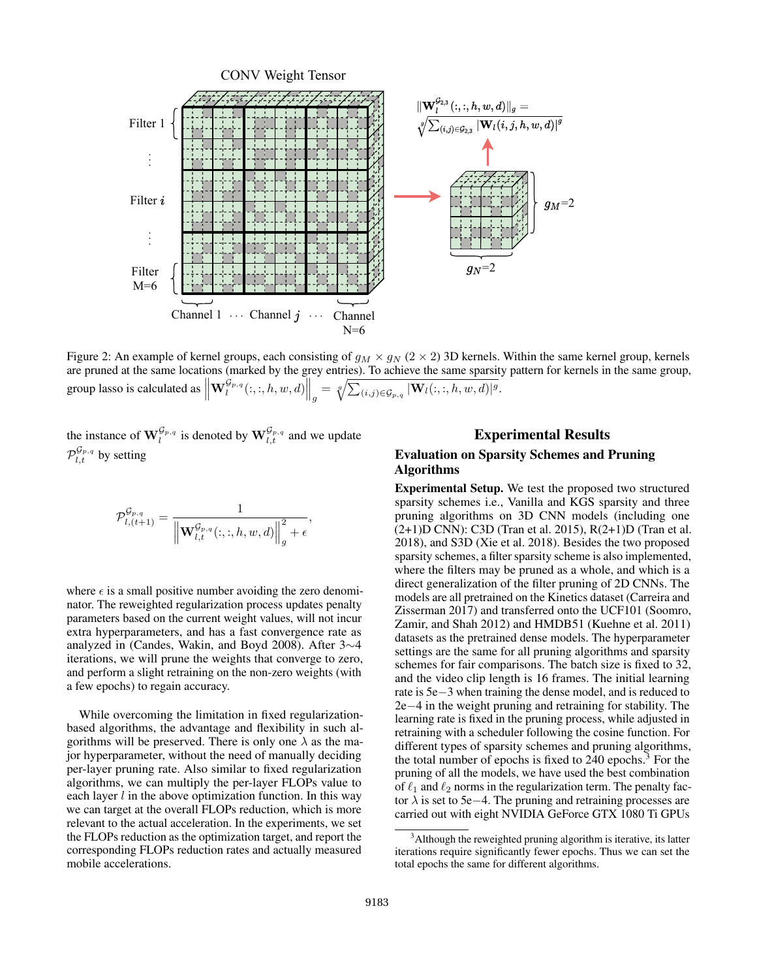

Figure 2: An example of kernel groups, each consisting of  $g_M \times g_N$  (2 × 2) 3D kernels. Within the same kernel group, kernels are pruned at the same locations (marked by the grey entries). To achieve the same sparsity pattern for kernels in the same group, group lasso is calculated as  $\left\| \mathbf{W}^{\mathcal{G}_{p,q}}_l(:,:,h,w,d) \right\|_g = \sqrt[q]{\sum_{(i,j) \in \mathcal{G}_{p,q}} |\mathbf{W}_l(:,:,h,w,d)|^g}.$ 

the instance of  $\mathbf{W}_{l}^{\mathcal{G}_{p,q}}$  is denoted by  $\mathbf{W}_{l,t}^{\mathcal{G}_{p,q}}$  and we update  $\mathcal{P}_{l,t}^{\mathcal{G}_{p,q}}$  by setting

$$
\mathcal{P}_{l,(t+1)}^{\mathcal{G}_{p,q}} = \frac{1}{\left\| \mathbf{W}_{l,t}^{\mathcal{G}_{p,q}}(:, :, h, w, d) \right\|_{g}^{2} + \epsilon},
$$

where  $\epsilon$  is a small positive number avoiding the zero denominator. The reweighted regularization process updates penalty parameters based on the current weight values, will not incur extra hyperparameters, and has a fast convergence rate as analyzed in (Candes, Wakin, and Boyd 2008). After 3∼4 iterations, we will prune the weights that converge to zero, and perform a slight retraining on the non-zero weights (with a few epochs) to regain accuracy.

While overcoming the limitation in fixed regularizationbased algorithms, the advantage and flexibility in such algorithms will be preserved. There is only one  $\lambda$  as the major hyperparameter, without the need of manually deciding per-layer pruning rate. Also similar to fixed regularization algorithms, we can multiply the per-layer FLOPs value to each layer  $l$  in the above optimization function. In this way we can target at the overall FLOPs reduction, which is more relevant to the actual acceleration. In the experiments, we set the FLOPs reduction as the optimization target, and report the corresponding FLOPs reduction rates and actually measured mobile accelerations.

## Experimental Results

## Evaluation on Sparsity Schemes and Pruning Algorithms

Experimental Setup. We test the proposed two structured sparsity schemes i.e., Vanilla and KGS sparsity and three pruning algorithms on 3D CNN models (including one (2+1)D CNN): C3D (Tran et al. 2015), R(2+1)D (Tran et al. 2018), and S3D (Xie et al. 2018). Besides the two proposed sparsity schemes, a filter sparsity scheme is also implemented, where the filters may be pruned as a whole, and which is a direct generalization of the filter pruning of 2D CNNs. The models are all pretrained on the Kinetics dataset (Carreira and Zisserman 2017) and transferred onto the UCF101 (Soomro, Zamir, and Shah 2012) and HMDB51 (Kuehne et al. 2011) datasets as the pretrained dense models. The hyperparameter settings are the same for all pruning algorithms and sparsity schemes for fair comparisons. The batch size is fixed to 32, and the video clip length is 16 frames. The initial learning rate is 5e−3 when training the dense model, and is reduced to 2e−4 in the weight pruning and retraining for stability. The learning rate is fixed in the pruning process, while adjusted in retraining with a scheduler following the cosine function. For different types of sparsity schemes and pruning algorithms, the total number of epochs is fixed to  $240$  epochs.<sup>3</sup> For the pruning of all the models, we have used the best combination of  $\ell_1$  and  $\ell_2$  norms in the regularization term. The penalty factor  $\lambda$  is set to 5e−4. The pruning and retraining processes are carried out with eight NVIDIA GeForce GTX 1080 Ti GPUs

 $3$ Although the reweighted pruning algorithm is iterative, its latter iterations require significantly fewer epochs. Thus we can set the total epochs the same for different algorithms.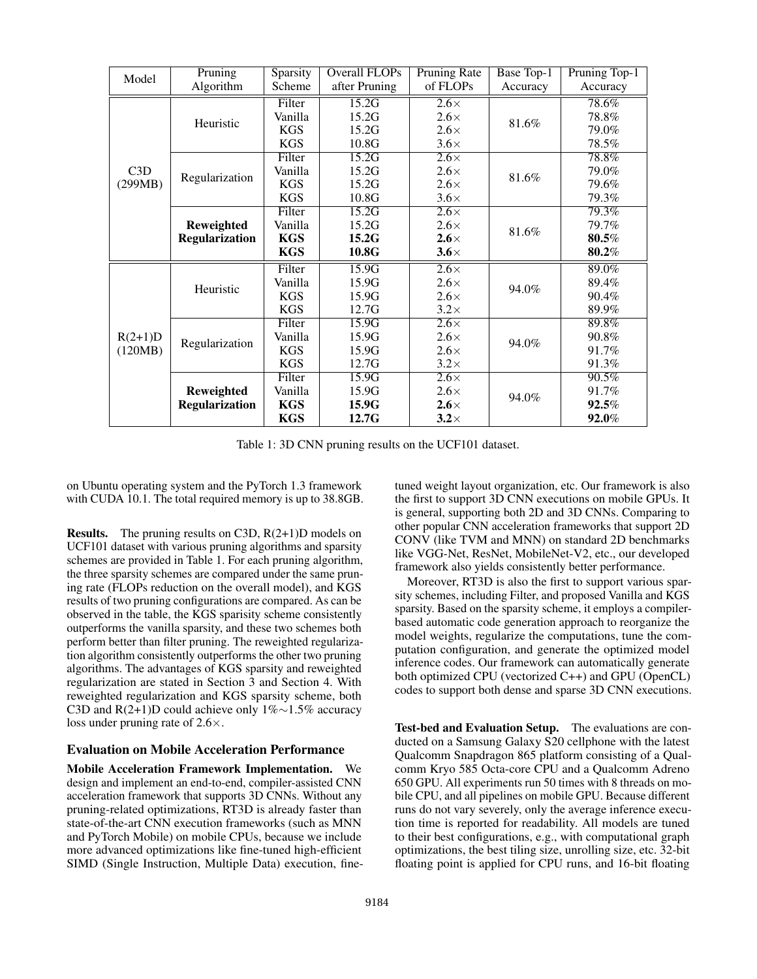| Model                | Pruning                                    | Sparsity   | Overall FLOPs | <b>Pruning Rate</b> | Base Top-1 | Pruning Top-1 |  |
|----------------------|--------------------------------------------|------------|---------------|---------------------|------------|---------------|--|
|                      | Algorithm                                  | Scheme     | after Pruning | of FLOPs            | Accuracy   | Accuracy      |  |
| C3D<br>(299MB)       |                                            | Filter     | 15.2G         | $2.6\times$         |            | 78.6%         |  |
|                      | Heuristic                                  | Vanilla    | 15.2G         | $2.6\times$         | 81.6%      | 78.8%         |  |
|                      |                                            | <b>KGS</b> | 15.2G         | $2.6\times$         |            | 79.0%         |  |
|                      |                                            | <b>KGS</b> | 10.8G         | $3.6\times$         |            | 78.5%         |  |
|                      | Regularization                             | Filter     | 15.2G         | $2.6\times$         |            | 78.8%         |  |
|                      |                                            | Vanilla    | 15.2G         | $2.6\times$         | 81.6%      | 79.0%         |  |
|                      |                                            | <b>KGS</b> | 15.2G         | $2.6\times$         |            | 79.6%         |  |
|                      |                                            | <b>KGS</b> | 10.8G         | $3.6\times$         |            | 79.3%         |  |
|                      | <b>Reweighted</b><br><b>Regularization</b> | Filter     | 15.2G         | $2.6\times$         |            | 79.3%         |  |
|                      |                                            | Vanilla    | 15.2G         | $2.6\times$         | 81.6%      | 79.7%         |  |
|                      |                                            | <b>KGS</b> | 15.2G         | $2.6\times$         |            | 80.5%         |  |
|                      |                                            | <b>KGS</b> | 10.8G         | $3.6\times$         |            | 80.2%         |  |
|                      | Heuristic                                  | Filter     | 15.9G         | $2.6\times$         |            | 89.0%         |  |
|                      |                                            | Vanilla    | 15.9G         | $2.6\times$         | 94.0%      | 89.4%         |  |
| $R(2+1)D$<br>(120MB) |                                            | <b>KGS</b> | 15.9G         | $2.6\times$         |            | 90.4%         |  |
|                      |                                            | <b>KGS</b> | 12.7G         | $3.2\times$         |            | 89.9%         |  |
|                      | Regularization                             | Filter     | 15.9G         | $2.6\times$         |            | 89.8%         |  |
|                      |                                            | Vanilla    | 15.9G         | $2.6\times$         | 94.0%      | 90.8%         |  |
|                      |                                            | <b>KGS</b> | 15.9G         | $2.6\times$         |            | 91.7%         |  |
|                      |                                            | <b>KGS</b> | 12.7G         | $3.2\times$         |            | 91.3%         |  |
|                      |                                            | Filter     | 15.9G         | $2.6\times$         |            | 90.5%         |  |
|                      | Reweighted                                 | Vanilla    | 15.9G         | $2.6\times$         | 94.0%      | 91.7%         |  |
|                      | <b>Regularization</b>                      | <b>KGS</b> | 15.9G         | $2.6\times$         |            | $92.5\%$      |  |
|                      |                                            | <b>KGS</b> | 12.7G         | $3.2\times$         |            | 92.0%         |  |

Table 1: 3D CNN pruning results on the UCF101 dataset.

on Ubuntu operating system and the PyTorch 1.3 framework with CUDA 10.1. The total required memory is up to 38.8GB.

Results. The pruning results on C3D, R(2+1)D models on UCF101 dataset with various pruning algorithms and sparsity schemes are provided in Table 1. For each pruning algorithm, the three sparsity schemes are compared under the same pruning rate (FLOPs reduction on the overall model), and KGS results of two pruning configurations are compared. As can be observed in the table, the KGS sparisity scheme consistently outperforms the vanilla sparsity, and these two schemes both perform better than filter pruning. The reweighted regularization algorithm consistently outperforms the other two pruning algorithms. The advantages of KGS sparsity and reweighted regularization are stated in Section 3 and Section 4. With reweighted regularization and KGS sparsity scheme, both C3D and R(2+1)D could achieve only 1%∼1.5% accuracy loss under pruning rate of  $2.6\times$ .

#### Evaluation on Mobile Acceleration Performance

Mobile Acceleration Framework Implementation. We design and implement an end-to-end, compiler-assisted CNN acceleration framework that supports 3D CNNs. Without any pruning-related optimizations, RT3D is already faster than state-of-the-art CNN execution frameworks (such as MNN and PyTorch Mobile) on mobile CPUs, because we include more advanced optimizations like fine-tuned high-efficient SIMD (Single Instruction, Multiple Data) execution, fine-

tuned weight layout organization, etc. Our framework is also the first to support 3D CNN executions on mobile GPUs. It is general, supporting both 2D and 3D CNNs. Comparing to other popular CNN acceleration frameworks that support 2D CONV (like TVM and MNN) on standard 2D benchmarks like VGG-Net, ResNet, MobileNet-V2, etc., our developed framework also yields consistently better performance.

Moreover, RT3D is also the first to support various sparsity schemes, including Filter, and proposed Vanilla and KGS sparsity. Based on the sparsity scheme, it employs a compilerbased automatic code generation approach to reorganize the model weights, regularize the computations, tune the computation configuration, and generate the optimized model inference codes. Our framework can automatically generate both optimized CPU (vectorized C++) and GPU (OpenCL) codes to support both dense and sparse 3D CNN executions.

Test-bed and Evaluation Setup. The evaluations are conducted on a Samsung Galaxy S20 cellphone with the latest Qualcomm Snapdragon 865 platform consisting of a Qualcomm Kryo 585 Octa-core CPU and a Qualcomm Adreno 650 GPU. All experiments run 50 times with 8 threads on mobile CPU, and all pipelines on mobile GPU. Because different runs do not vary severely, only the average inference execution time is reported for readability. All models are tuned to their best configurations, e.g., with computational graph optimizations, the best tiling size, unrolling size, etc. 32-bit floating point is applied for CPU runs, and 16-bit floating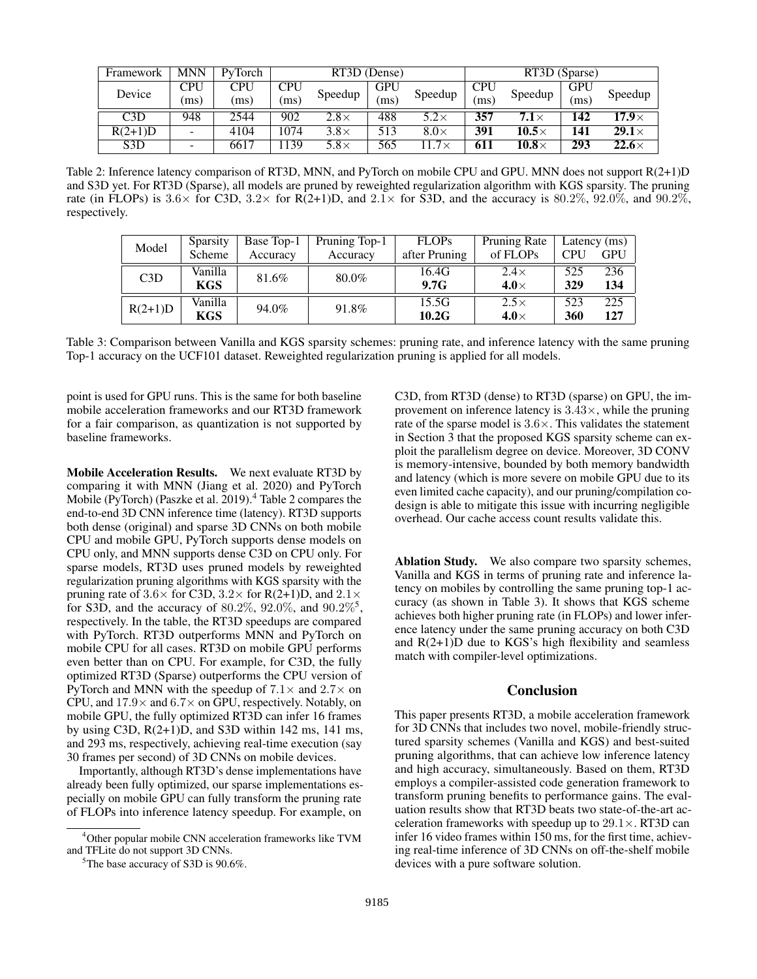| Framework        | <b>MNN</b>               | PyTorch | RT3D (Dense) |             |            |             | RT3D (Sparse) |                   |            |               |
|------------------|--------------------------|---------|--------------|-------------|------------|-------------|---------------|-------------------|------------|---------------|
| Device           | CPU                      | CPU     | CPU          | Speedup     | <b>GPU</b> | Speedup     | <b>CPU</b>    | Speedup           | <b>GPU</b> | Speedup       |
|                  | (ms)                     | (ms)    | (ms)         |             | ms         |             | ms            |                   | ms         |               |
| C3D              | 948                      | 2544    | 902          | $2.8\times$ | 488        | $5.2\times$ | 357           | 7.1 $\times$      | 142        | 17.9 $\times$ |
| $R(2+1)D$        | $\overline{a}$           | 4104    | 1074         | $3.8\times$ | 513        | $8.0\times$ | 391           | $10.5\times$      | 141        | $29.1\times$  |
| S <sub>3</sub> D | $\overline{\phantom{a}}$ | 6617    | 139          | $5.8\times$ | 565        | .7 $\times$ | 611           | $\bm{10.8}\times$ | 293        | $22.6\times$  |

Table 2: Inference latency comparison of RT3D, MNN, and PyTorch on mobile CPU and GPU. MNN does not support R(2+1)D and S3D yet. For RT3D (Sparse), all models are pruned by reweighted regularization algorithm with KGS sparsity. The pruning rate (in FLOPs) is  $3.6\times$  for C3D,  $3.2\times$  for R(2+1)D, and  $2.1\times$  for S3D, and the accuracy is  $80.2\%$ ,  $92.0\%$ , and  $90.2\%$ , respectively.

| Model     | Sparsity | Base Top-1 | Pruning Top-1 | <b>FLOPs</b>  | Pruning Rate | Latency $(ms)$ |     |
|-----------|----------|------------|---------------|---------------|--------------|----------------|-----|
|           | Scheme   | Accuracy   | Accuracy      | after Pruning | of FLOPs     | <b>CPU</b>     | GPU |
| C3D       | Vanilla  | 81.6%      | 80.0%         | 16.4G         | $2.4\times$  | 525            | 236 |
|           | KGS      |            |               | 9.7G          | $4.0\times$  | 329            | 134 |
| $R(2+1)D$ | Vanilla  | 94.0%      | 91.8%         | 15.5G         | $2.5\times$  | 523            | 225 |
|           | KGS      |            |               | 10.2G         | 4.0 $\times$ | 360            | 127 |

Table 3: Comparison between Vanilla and KGS sparsity schemes: pruning rate, and inference latency with the same pruning Top-1 accuracy on the UCF101 dataset. Reweighted regularization pruning is applied for all models.

point is used for GPU runs. This is the same for both baseline mobile acceleration frameworks and our RT3D framework for a fair comparison, as quantization is not supported by baseline frameworks.

Mobile Acceleration Results. We next evaluate RT3D by comparing it with MNN (Jiang et al. 2020) and PyTorch Mobile (PyTorch) (Paszke et al. 2019).<sup>4</sup> Table 2 compares the end-to-end 3D CNN inference time (latency). RT3D supports both dense (original) and sparse 3D CNNs on both mobile CPU and mobile GPU, PyTorch supports dense models on CPU only, and MNN supports dense C3D on CPU only. For sparse models, RT3D uses pruned models by reweighted regularization pruning algorithms with KGS sparsity with the pruning rate of  $3.6 \times$  for C3D,  $3.2 \times$  for R(2+1)D, and  $2.1 \times$ for S3D, and the accuracy of 80.2%, 92.0%, and  $90.2\%$ <sup>5</sup>, respectively. In the table, the RT3D speedups are compared with PyTorch. RT3D outperforms MNN and PyTorch on mobile CPU for all cases. RT3D on mobile GPU performs even better than on CPU. For example, for C3D, the fully optimized RT3D (Sparse) outperforms the CPU version of PyTorch and MNN with the speedup of  $7.1\times$  and  $2.7\times$  on CPU, and  $17.9 \times$  and  $6.7 \times$  on GPU, respectively. Notably, on mobile GPU, the fully optimized RT3D can infer 16 frames by using C3D,  $R(2+1)D$ , and S3D within 142 ms, 141 ms, and 293 ms, respectively, achieving real-time execution (say 30 frames per second) of 3D CNNs on mobile devices.

Importantly, although RT3D's dense implementations have already been fully optimized, our sparse implementations especially on mobile GPU can fully transform the pruning rate of FLOPs into inference latency speedup. For example, on

C3D, from RT3D (dense) to RT3D (sparse) on GPU, the improvement on inference latency is  $3.43\times$ , while the pruning rate of the sparse model is  $3.6 \times$ . This validates the statement in Section 3 that the proposed KGS sparsity scheme can exploit the parallelism degree on device. Moreover, 3D CONV is memory-intensive, bounded by both memory bandwidth and latency (which is more severe on mobile GPU due to its even limited cache capacity), and our pruning/compilation codesign is able to mitigate this issue with incurring negligible overhead. Our cache access count results validate this.

Ablation Study. We also compare two sparsity schemes, Vanilla and KGS in terms of pruning rate and inference latency on mobiles by controlling the same pruning top-1 accuracy (as shown in Table 3). It shows that KGS scheme achieves both higher pruning rate (in FLOPs) and lower inference latency under the same pruning accuracy on both C3D and  $R(2+1)D$  due to KGS's high flexibility and seamless match with compiler-level optimizations.

#### Conclusion

This paper presents RT3D, a mobile acceleration framework for 3D CNNs that includes two novel, mobile-friendly structured sparsity schemes (Vanilla and KGS) and best-suited pruning algorithms, that can achieve low inference latency and high accuracy, simultaneously. Based on them, RT3D employs a compiler-assisted code generation framework to transform pruning benefits to performance gains. The evaluation results show that RT3D beats two state-of-the-art acceleration frameworks with speedup up to  $29.1 \times$ . RT3D can infer 16 video frames within 150 ms, for the first time, achieving real-time inference of 3D CNNs on off-the-shelf mobile devices with a pure software solution.

<sup>4</sup>Other popular mobile CNN acceleration frameworks like TVM and TFLite do not support 3D CNNs.

<sup>&</sup>lt;sup>5</sup>The base accuracy of S3D is 90.6%.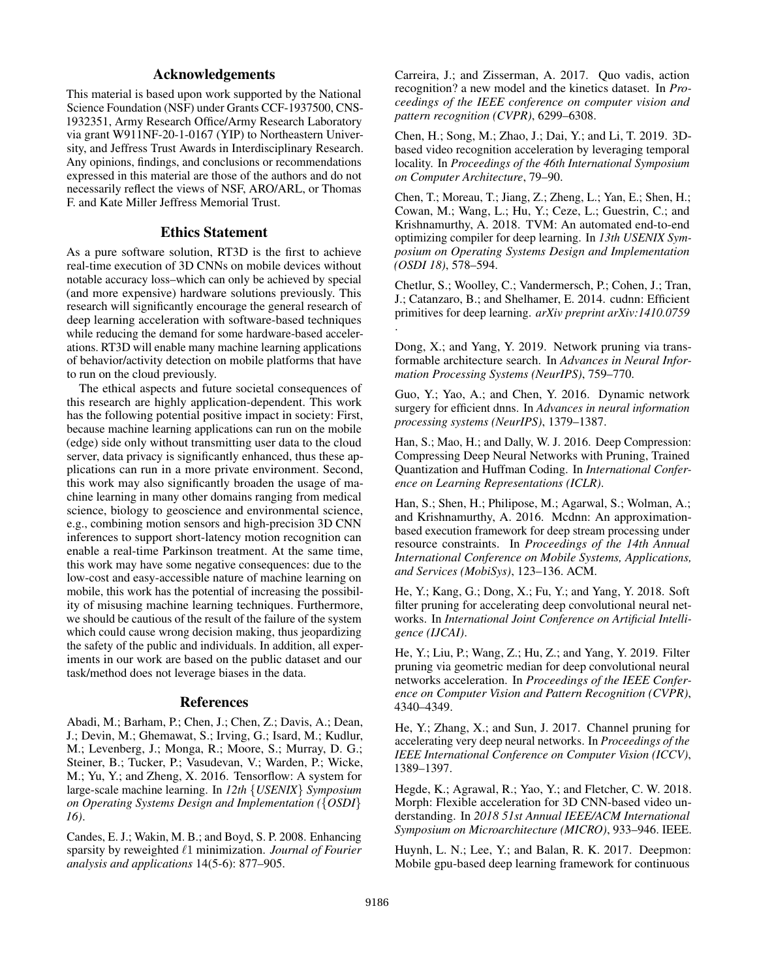## Acknowledgements

This material is based upon work supported by the National Science Foundation (NSF) under Grants CCF-1937500, CNS-1932351, Army Research Office/Army Research Laboratory via grant W911NF-20-1-0167 (YIP) to Northeastern University, and Jeffress Trust Awards in Interdisciplinary Research. Any opinions, findings, and conclusions or recommendations expressed in this material are those of the authors and do not necessarily reflect the views of NSF, ARO/ARL, or Thomas F. and Kate Miller Jeffress Memorial Trust.

## Ethics Statement

As a pure software solution, RT3D is the first to achieve real-time execution of 3D CNNs on mobile devices without notable accuracy loss–which can only be achieved by special (and more expensive) hardware solutions previously. This research will significantly encourage the general research of deep learning acceleration with software-based techniques while reducing the demand for some hardware-based accelerations. RT3D will enable many machine learning applications of behavior/activity detection on mobile platforms that have to run on the cloud previously.

The ethical aspects and future societal consequences of this research are highly application-dependent. This work has the following potential positive impact in society: First, because machine learning applications can run on the mobile (edge) side only without transmitting user data to the cloud server, data privacy is significantly enhanced, thus these applications can run in a more private environment. Second, this work may also significantly broaden the usage of machine learning in many other domains ranging from medical science, biology to geoscience and environmental science, e.g., combining motion sensors and high-precision 3D CNN inferences to support short-latency motion recognition can enable a real-time Parkinson treatment. At the same time, this work may have some negative consequences: due to the low-cost and easy-accessible nature of machine learning on mobile, this work has the potential of increasing the possibility of misusing machine learning techniques. Furthermore, we should be cautious of the result of the failure of the system which could cause wrong decision making, thus jeopardizing the safety of the public and individuals. In addition, all experiments in our work are based on the public dataset and our task/method does not leverage biases in the data.

#### References

Abadi, M.; Barham, P.; Chen, J.; Chen, Z.; Davis, A.; Dean, J.; Devin, M.; Ghemawat, S.; Irving, G.; Isard, M.; Kudlur, M.; Levenberg, J.; Monga, R.; Moore, S.; Murray, D. G.; Steiner, B.; Tucker, P.; Vasudevan, V.; Warden, P.; Wicke, M.; Yu, Y.; and Zheng, X. 2016. Tensorflow: A system for large-scale machine learning. In *12th* {*USENIX*} *Symposium on Operating Systems Design and Implementation (*{*OSDI*} *16)*.

Candes, E. J.; Wakin, M. B.; and Boyd, S. P. 2008. Enhancing sparsity by reweighted  $\ell$ 1 minimization. *Journal of Fourier analysis and applications* 14(5-6): 877–905.

Carreira, J.; and Zisserman, A. 2017. Quo vadis, action recognition? a new model and the kinetics dataset. In *Proceedings of the IEEE conference on computer vision and pattern recognition (CVPR)*, 6299–6308.

Chen, H.; Song, M.; Zhao, J.; Dai, Y.; and Li, T. 2019. 3Dbased video recognition acceleration by leveraging temporal locality. In *Proceedings of the 46th International Symposium on Computer Architecture*, 79–90.

Chen, T.; Moreau, T.; Jiang, Z.; Zheng, L.; Yan, E.; Shen, H.; Cowan, M.; Wang, L.; Hu, Y.; Ceze, L.; Guestrin, C.; and Krishnamurthy, A. 2018. TVM: An automated end-to-end optimizing compiler for deep learning. In *13th USENIX Symposium on Operating Systems Design and Implementation (OSDI 18)*, 578–594.

Chetlur, S.; Woolley, C.; Vandermersch, P.; Cohen, J.; Tran, J.; Catanzaro, B.; and Shelhamer, E. 2014. cudnn: Efficient primitives for deep learning. *arXiv preprint arXiv:1410.0759* .

Dong, X.; and Yang, Y. 2019. Network pruning via transformable architecture search. In *Advances in Neural Information Processing Systems (NeurIPS)*, 759–770.

Guo, Y.; Yao, A.; and Chen, Y. 2016. Dynamic network surgery for efficient dnns. In *Advances in neural information processing systems (NeurIPS)*, 1379–1387.

Han, S.; Mao, H.; and Dally, W. J. 2016. Deep Compression: Compressing Deep Neural Networks with Pruning, Trained Quantization and Huffman Coding. In *International Conference on Learning Representations (ICLR)*.

Han, S.; Shen, H.; Philipose, M.; Agarwal, S.; Wolman, A.; and Krishnamurthy, A. 2016. Mcdnn: An approximationbased execution framework for deep stream processing under resource constraints. In *Proceedings of the 14th Annual International Conference on Mobile Systems, Applications, and Services (MobiSys)*, 123–136. ACM.

He, Y.; Kang, G.; Dong, X.; Fu, Y.; and Yang, Y. 2018. Soft filter pruning for accelerating deep convolutional neural networks. In *International Joint Conference on Artificial Intelligence (IJCAI)*.

He, Y.; Liu, P.; Wang, Z.; Hu, Z.; and Yang, Y. 2019. Filter pruning via geometric median for deep convolutional neural networks acceleration. In *Proceedings of the IEEE Conference on Computer Vision and Pattern Recognition (CVPR)*, 4340–4349.

He, Y.; Zhang, X.; and Sun, J. 2017. Channel pruning for accelerating very deep neural networks. In *Proceedings of the IEEE International Conference on Computer Vision (ICCV)*, 1389–1397.

Hegde, K.; Agrawal, R.; Yao, Y.; and Fletcher, C. W. 2018. Morph: Flexible acceleration for 3D CNN-based video understanding. In *2018 51st Annual IEEE/ACM International Symposium on Microarchitecture (MICRO)*, 933–946. IEEE.

Huynh, L. N.; Lee, Y.; and Balan, R. K. 2017. Deepmon: Mobile gpu-based deep learning framework for continuous